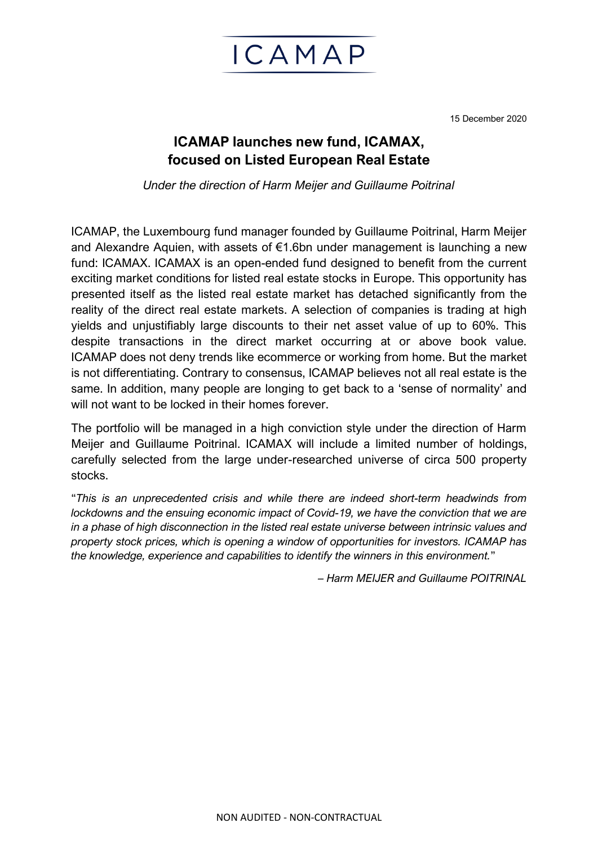

15 December 2020

## **ICAMAP launches new fund, ICAMAX, focused on Listed European Real Estate**

*Under the direction of Harm Meijer and Guillaume Poitrinal*

ICAMAP, the Luxembourg fund manager founded by Guillaume Poitrinal, Harm Meijer and Alexandre Aquien, with assets of €1.6bn under management is launching a new fund: ICAMAX. ICAMAX is an open-ended fund designed to benefit from the current exciting market conditions for listed real estate stocks in Europe. This opportunity has presented itself as the listed real estate market has detached significantly from the reality of the direct real estate markets. A selection of companies is trading at high yields and unjustifiably large discounts to their net asset value of up to 60%. This despite transactions in the direct market occurring at or above book value. ICAMAP does not deny trends like ecommerce or working from home. But the market is not differentiating. Contrary to consensus, ICAMAP believes not all real estate is the same. In addition, many people are longing to get back to a 'sense of normality' and will not want to be locked in their homes forever.

The portfolio will be managed in a high conviction style under the direction of Harm Meijer and Guillaume Poitrinal. ICAMAX will include a limited number of holdings, carefully selected from the large under-researched universe of circa 500 property stocks.

"*This is an unprecedented crisis and while there are indeed short-term headwinds from lockdowns and the ensuing economic impact of Covid-19, we have the conviction that we are in a phase of high disconnection in the listed real estate universe between intrinsic values and property stock prices, which is opening a window of opportunities for investors. ICAMAP has the knowledge, experience and capabilities to identify the winners in this environment.*"

*– Harm MEIJER and Guillaume POITRINAL*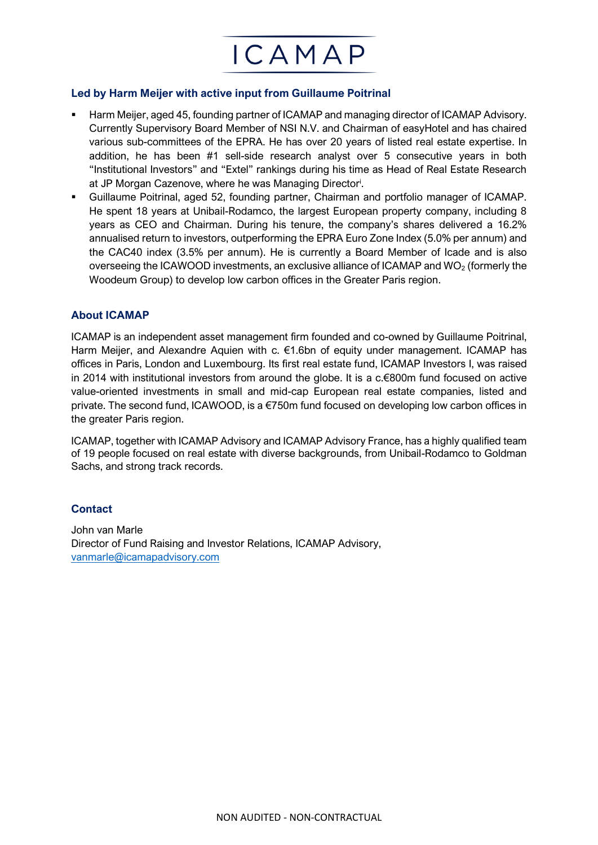

▪ Harm Meijer, aged 45, founding partner of ICAMAP and managing director of ICAMAP Advisory. Currently Supervisory Board Member of NSI N.V. and Chairman of easyHotel and has chaired various sub-committees of the EPRA. He has over 20 years of listed real estate expertise. In addition, he has been #1 sell-side research analyst over 5 consecutive years in both "Institutional Investors" and "Extel" rankings during his time as Head of Real Estate Research at JP Morgan Cazenove, where he was Managing Director<sup>i</sup>.

ICAMAP

Guillaume Poitrinal, aged 52, founding partner, Chairman and portfolio manager of ICAMAP. He spent 18 years at Unibail-Rodamco, the largest European property company, including 8 years as CEO and Chairman. During his tenure, the company's shares delivered a 16.2% annualised return to investors, outperforming the EPRA Euro Zone Index (5.0% per annum) and the CAC40 index (3.5% per annum). He is currently a Board Member of Icade and is also overseeing the ICAWOOD investments, an exclusive alliance of ICAMAP and  $WO<sub>2</sub>$  (formerly the Woodeum Group) to develop low carbon offices in the Greater Paris region.

## **About ICAMAP**

ICAMAP is an independent asset management firm founded and co-owned by Guillaume Poitrinal, Harm Meijer, and Alexandre Aquien with c. €1.6bn of equity under management. ICAMAP has offices in Paris, London and Luxembourg. Its first real estate fund, ICAMAP Investors I, was raised in 2014 with institutional investors from around the globe. It is a c.€800m fund focused on active value-oriented investments in small and mid-cap European real estate companies, listed and private. The second fund, ICAWOOD, is a  $\epsilon$ 750m fund focused on developing low carbon offices in the greater Paris region.

ICAMAP, together with ICAMAP Advisory and ICAMAP Advisory France, has a highly qualified team of 19 people focused on real estate with diverse backgrounds, from Unibail-Rodamco to Goldman Sachs, and strong track records.

## **Contact**

John van Marle Director of Fund Raising and Investor Relations, ICAMAP Advisory, [vanmarle@icamapadvisory.com](mailto:vanmarle@icamapadvisory.com)